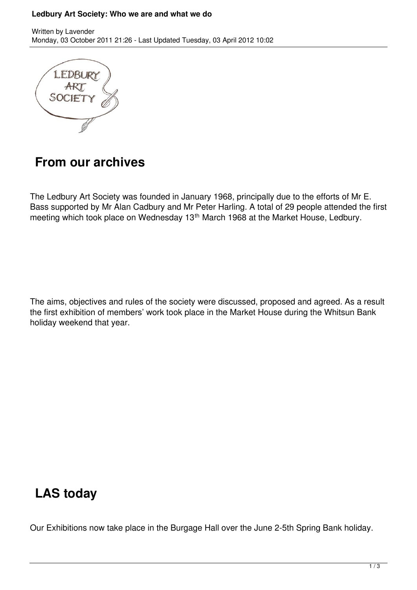#### **Ledbury Art Society: Who we are and what we do**



## **From our archives**

The Ledbury Art Society was founded in January 1968, principally due to the efforts of Mr E. Bass supported by Mr Alan Cadbury and Mr Peter Harling. A total of 29 people attended the first meeting which took place on Wednesday 13<sup>th</sup> March 1968 at the Market House, Ledbury.

The aims, objectives and rules of the society were discussed, proposed and agreed. As a result the first exhibition of members' work took place in the Market House during the Whitsun Bank holiday weekend that year.

# **LAS today**

Our Exhibitions now take place in the Burgage Hall over the June 2-5th Spring Bank holiday.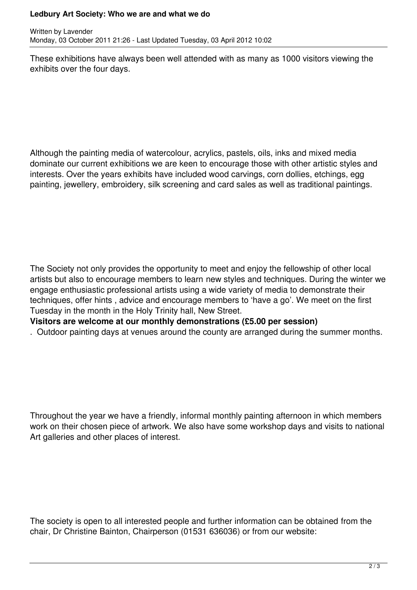### **Ledbury Art Society: Who we are and what we do**

These exhibitions have always been well attended with as many as 1000 visitors viewing the exhibits over the four days.

Although the painting media of watercolour, acrylics, pastels, oils, inks and mixed media dominate our current exhibitions we are keen to encourage those with other artistic styles and interests. Over the years exhibits have included wood carvings, corn dollies, etchings, egg painting, jewellery, embroidery, silk screening and card sales as well as traditional paintings.

The Society not only provides the opportunity to meet and enjoy the fellowship of other local artists but also to encourage members to learn new styles and techniques. During the winter we engage enthusiastic professional artists using a wide variety of media to demonstrate their techniques, offer hints , advice and encourage members to 'have a go'. We meet on the first Tuesday in the month in the Holy Trinity hall, New Street.

**Visitors are welcome at our monthly demonstrations (£5.00 per session)**

. Outdoor painting days at venues around the county are arranged during the summer months.

Throughout the year we have a friendly, informal monthly painting afternoon in which members work on their chosen piece of artwork. We also have some workshop days and visits to national Art galleries and other places of interest.

The society is open to all interested people and further information can be obtained from the chair, Dr Christine Bainton, Chairperson (01531 636036) or from our website: